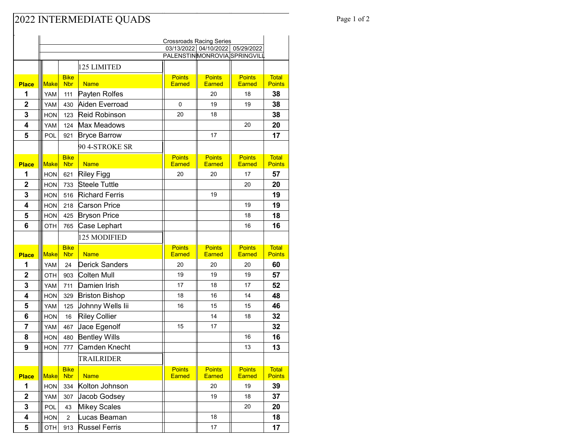## Page 1 of 2

|                         | <b>Crossroads Racing Series</b> |                           |                                      |                                |                                                                     |                                |                               |  |
|-------------------------|---------------------------------|---------------------------|--------------------------------------|--------------------------------|---------------------------------------------------------------------|--------------------------------|-------------------------------|--|
|                         |                                 |                           |                                      |                                | 03/13/2022 04/10/2022<br>05/29/2022<br>PALENSTINMONROVIA SPRINGVILL |                                |                               |  |
|                         |                                 |                           |                                      |                                |                                                                     |                                |                               |  |
|                         |                                 |                           | 125 LIMITED                          |                                |                                                                     |                                |                               |  |
| <b>Place</b>            | <b>Make</b>                     | <b>Bike</b><br><b>Nbr</b> | <b>Name</b>                          | <b>Points</b><br><b>Earned</b> | <b>Points</b><br><b>Earned</b>                                      | <b>Points</b><br><b>Earned</b> | <b>Total</b><br><b>Points</b> |  |
| 1                       | YAM                             | 111                       | Payten Rolfes                        |                                | 20                                                                  | 18                             | 38                            |  |
| $\mathbf 2$             | YAM                             | 430                       | Aiden Everroad                       | 0                              | 19                                                                  | 19                             | 38                            |  |
| 3                       | <b>HON</b>                      | 123                       | <b>Reid Robinson</b>                 | 20                             | 18                                                                  |                                | 38                            |  |
| $\overline{\mathbf{4}}$ | YAM                             | 124                       | Max Meadows                          |                                |                                                                     | 20                             | 20                            |  |
| 5                       | POL                             | 921                       | <b>Bryce Barrow</b>                  |                                | 17                                                                  |                                | 17                            |  |
|                         |                                 |                           | 90 4-STROKE SR                       |                                |                                                                     |                                |                               |  |
|                         |                                 | <b>Bike</b>               |                                      | <b>Points</b>                  | <b>Points</b>                                                       | <b>Points</b>                  | <b>Total</b>                  |  |
| <b>Place</b>            | <b>Make</b>                     | <b>Nbr</b>                | <b>Name</b>                          | <b>Earned</b>                  | Earned                                                              | <b>Earned</b>                  | <b>Points</b>                 |  |
| 1                       | <b>HON</b>                      | 621                       | <b>Riley Figg</b>                    | 20                             | 20                                                                  | 17                             | 57                            |  |
| 2                       | <b>HON</b>                      | 733                       | <b>Steele Tuttle</b>                 |                                |                                                                     | 20                             | 20                            |  |
| 3                       | <b>HON</b>                      | 516                       | <b>Richard Ferris</b>                |                                | 19                                                                  |                                | 19                            |  |
| 4                       | <b>HON</b>                      | 218                       | Carson Price                         |                                |                                                                     | 19                             | 19                            |  |
| 5                       | <b>HON</b>                      | 425                       | <b>Bryson Price</b>                  |                                |                                                                     | 18                             | 18                            |  |
| 6                       | OTH                             | 765                       | Case Lephart                         |                                |                                                                     | 16                             | 16                            |  |
|                         |                                 |                           | 125 MODIFIED                         |                                |                                                                     |                                |                               |  |
|                         |                                 | <b>Bike</b>               |                                      | <b>Points</b>                  | <b>Points</b>                                                       | <b>Points</b>                  | <b>Total</b>                  |  |
| <b>Place</b><br>1       | <b>Make</b><br>YAM              | <b>Nbr</b><br>24          | <b>Name</b><br><b>Derick Sanders</b> | <b>Earned</b><br>20            | <b>Earned</b><br>20                                                 | <b>Earned</b><br>20            | <b>Points</b><br>60           |  |
| $\overline{\mathbf{2}}$ | OTH                             | 903                       | Colten Mull                          | 19                             | 19                                                                  | 19                             | 57                            |  |
| 3                       | YAM                             | 711                       | Damien Irish                         | 17                             | 18                                                                  | 17                             | 52                            |  |
| 4                       | <b>HON</b>                      | 329                       | <b>Briston Bishop</b>                | 18                             | 16                                                                  | 14                             | 48                            |  |
| 5                       | YAM                             | 125                       | Johnny Wells Iii                     | 16                             | 15                                                                  | 15                             | 46                            |  |
| 6                       | <b>HON</b>                      | 16                        | <b>Riley Collier</b>                 |                                | 14                                                                  | 18                             | 32                            |  |
| 7                       | YAM                             | 467                       | Jace Egenolf                         | 15                             | 17                                                                  |                                | 32                            |  |
| 8                       | <b>HON</b>                      | 480                       | <b>Bentley Wills</b>                 |                                |                                                                     | 16                             | 16                            |  |
| 9                       | <b>HON</b>                      | 777                       | Camden Knecht                        |                                |                                                                     | 13                             | 13                            |  |
|                         |                                 |                           | TRAILRIDER                           |                                |                                                                     |                                |                               |  |
|                         |                                 | <b>Bike</b>               |                                      | <b>Points</b>                  | <b>Points</b>                                                       | <b>Points</b>                  | <b>Total</b>                  |  |
| <b>Place</b>            | <b>Make</b>                     | <b>Nbr</b>                | <b>Name</b>                          | <b>Earned</b>                  | <b>Earned</b>                                                       | <b>Earned</b>                  | <b>Points</b>                 |  |
| 1                       | HON                             | 334                       | Kolton Johnson                       |                                | 20                                                                  | 19                             | 39                            |  |
| $\mathbf 2$             | YAM                             | 307                       | Jacob Godsey                         |                                | 19                                                                  | 18                             | 37                            |  |
| 3                       | POL                             | 43                        | <b>Mikey Scales</b>                  |                                |                                                                     | 20                             | 20                            |  |
| 4                       | <b>HON</b>                      | $\overline{2}$            | Lucas Beaman                         |                                | 18                                                                  |                                | 18                            |  |
| 5                       | OTH                             | 913                       | <b>Russel Ferris</b>                 |                                | 17                                                                  |                                | 17                            |  |